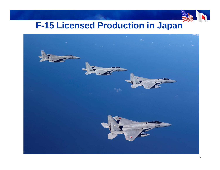

# **F-15 Licensed Production in Japan**

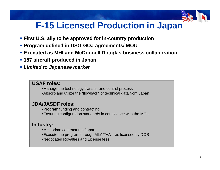## **F-15 Licensed Production in Japan**

- **First U.S. ally to be approved for in-country production**
- **Program defined in USG-GOJ agreements/ MOU**
- **Executed as MHI and McDonnell Douglas business collaboration MHI McDonnell**
- **187 aircraft produced in Japan**
- *Limited to Japanese market*

#### **USAF roles:**

•Manage the technology transfer and control process •Absorb and utilize the "flowback" of technical data from Japan

### **JDA/JASDF roles:**

•Program funding and contracting •Ensuring configuration standards in compliance with the MOU

### **Industry:**

- •MHI prime contractor in Japan
- •Execute the program through MLA/TAA as licensed by DOS
- •Negotiated Royalties and License fees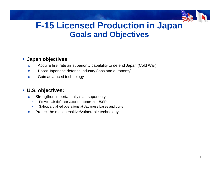### **F-15 Licensed Production in Japan Goals and Objectives**

#### **Japan objectives:**

- oAcquire first rate air superiority capability to defend Japan (Cold War)
- oBoost Japanese defense industry (jobs and autonomy)
- oGain advanced technology

### **U.S. objectives:**

- o $\circ$  Strengthen important ally's air superiority
	- •Prevent air defense vacuum - deter the USSR
	- •Safeguard allied operations at Japanese bases and ports
- oProtect the most sensitive/vulnerable technology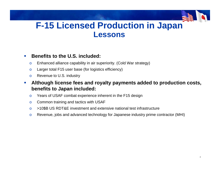### **F-15 Licensed Production in Japan Lessons**

#### $\mathcal{L}_{\mathcal{A}}$ **Benefits to the U.S. included:**

- oEnhanced alliance capability in air superiority. (Cold War strategy)
- oLarger total F15 user base (for logistics efficiency)
- oRevenue to U.S. industry
- $\mathcal{L}_{\mathcal{A}}$  **Although license fees and royalty payments added to production costs, benefits to Japan included:**
	- oYears of USAF combat experience inherent in the F15 design
	- oCommon training and tactics with USAF
	- o>10\$B US RDT&E investment and extensive national test infrastructure
	- oRevenue, jobs and advanced technology for Japanese industry prime contractor (MHI)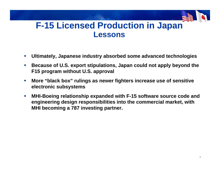### **F-15 Licensed Production in Japan Lessons**

- $\mathcal{L}_{\mathcal{A}}$ **Ultimately, Japanese industry absorbed some advanced technologies**
- $\mathcal{L}_{\mathcal{A}}$  **Because of U.S. export stipulations, Japan could not apply beyond the F15 program without U.S. approval**
- $\mathcal{L}_{\mathcal{A}}$  **More "black box" rulings as newer fighters increase use of sensitive electronic subsystems**
- $\mathcal{L}_{\mathcal{A}}$ ■ MHI-Boeing relationship expanded with F-15 software source code and **engineering design responsibilities into the commercial market, with MHI becoming a 787 investing partner.**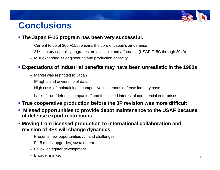## **Conclusions**

### **The Japan F-15 program has been very successful.**

- Current force of 200 F15s remains the core of Japan's air defense
- 21st century capability upgrades are available and affordable (USAF F15C through 2040)
- MHI expanded its engineering and production capacity

### **Expectations of industrial benefits may have been unrealistic in the 1980s**

- $-$  Market was restricted to Japan
- IP rights and ownership of data
- High costs of maintaining a competitive indigenous defense industry base.
- $-$  Lack of true "defense companies" and the limited interest of commercial enterprises
- **True cooperative production before the 3P revision was more difficult**
- $\mathcal{L}_{\mathcal{A}}$  **Missed opportunities to provide depot maintenance to the USAF because of defense export restrictions.**
- **Moving from licensed production to international collaboration and revision of 3Ps will change dynamics**
	- $-$  Presents new opportunities  $\ldots$  and challenges
	- F-15 mods, upgrades, sustainment
	- Follow on fighter development
	- Broader market <sup>6</sup>